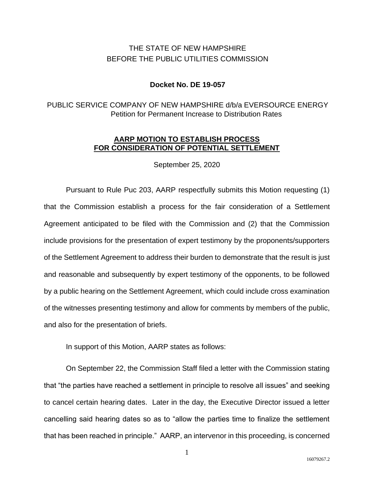# THE STATE OF NEW HAMPSHIRE BEFORE THE PUBLIC UTILITIES COMMISSION

#### **Docket No. DE 19-057**

## PUBLIC SERVICE COMPANY OF NEW HAMPSHIRE d/b/a EVERSOURCE ENERGY Petition for Permanent Increase to Distribution Rates

#### **AARP MOTION TO ESTABLISH PROCESS FOR CONSIDERATION OF POTENTIAL SETTLEMENT**

September 25, 2020

Pursuant to Rule Puc 203, AARP respectfully submits this Motion requesting (1) that the Commission establish a process for the fair consideration of a Settlement Agreement anticipated to be filed with the Commission and (2) that the Commission include provisions for the presentation of expert testimony by the proponents/supporters of the Settlement Agreement to address their burden to demonstrate that the result is just and reasonable and subsequently by expert testimony of the opponents, to be followed by a public hearing on the Settlement Agreement, which could include cross examination of the witnesses presenting testimony and allow for comments by members of the public, and also for the presentation of briefs.

In support of this Motion, AARP states as follows:

On September 22, the Commission Staff filed a letter with the Commission stating that "the parties have reached a settlement in principle to resolve all issues" and seeking to cancel certain hearing dates. Later in the day, the Executive Director issued a letter cancelling said hearing dates so as to "allow the parties time to finalize the settlement that has been reached in principle." AARP, an intervenor in this proceeding, is concerned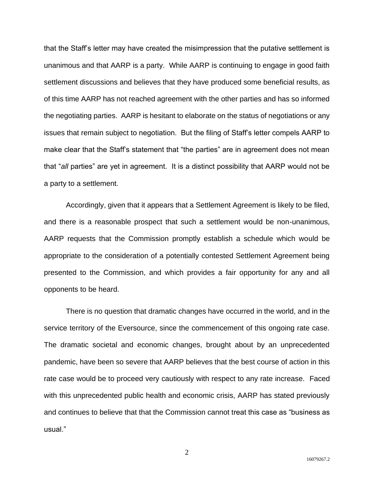that the Staff's letter may have created the misimpression that the putative settlement is unanimous and that AARP is a party. While AARP is continuing to engage in good faith settlement discussions and believes that they have produced some beneficial results, as of this time AARP has not reached agreement with the other parties and has so informed the negotiating parties. AARP is hesitant to elaborate on the status of negotiations or any issues that remain subject to negotiation. But the filing of Staff's letter compels AARP to make clear that the Staff's statement that "the parties" are in agreement does not mean that "*all* parties" are yet in agreement. It is a distinct possibility that AARP would not be a party to a settlement.

Accordingly, given that it appears that a Settlement Agreement is likely to be filed, and there is a reasonable prospect that such a settlement would be non-unanimous, AARP requests that the Commission promptly establish a schedule which would be appropriate to the consideration of a potentially contested Settlement Agreement being presented to the Commission, and which provides a fair opportunity for any and all opponents to be heard.

There is no question that dramatic changes have occurred in the world, and in the service territory of the Eversource, since the commencement of this ongoing rate case. The dramatic societal and economic changes, brought about by an unprecedented pandemic, have been so severe that AARP believes that the best course of action in this rate case would be to proceed very cautiously with respect to any rate increase. Faced with this unprecedented public health and economic crisis, AARP has stated previously and continues to believe that that the Commission cannot treat this case as "business as usual."

2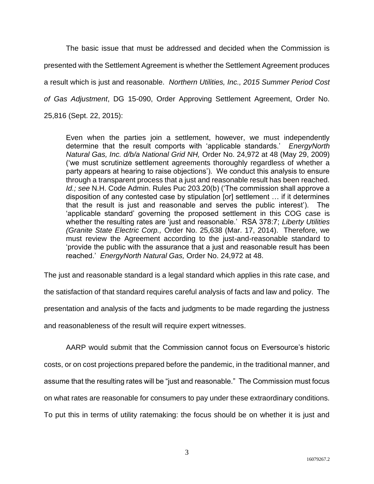The basic issue that must be addressed and decided when the Commission is presented with the Settlement Agreement is whether the Settlement Agreement produces a result which is just and reasonable. *Northern Utilities, Inc., 2015 Summer Period Cost of Gas Adjustment*, DG 15-090, Order Approving Settlement Agreement, Order No. 25,816 (Sept. 22, 2015):

Even when the parties join a settlement, however, we must independently determine that the result comports with 'applicable standards.' *EnergyNorth Natural Gas, Inc. d/b/a National Grid NH,* Order No. 24,972 at 48 (May 29, 2009) ('we must scrutinize settlement agreements thoroughly regardless of whether a party appears at hearing to raise objections'). We conduct this analysis to ensure through a transparent process that a just and reasonable result has been reached. *Id.; see* N.H. Code Admin. Rules Puc 203.20(b) ('The commission shall approve a disposition of any contested case by stipulation [or] settlement … if it determines that the result is just and reasonable and serves the public interest'). The 'applicable standard' governing the proposed settlement in this COG case is whether the resulting rates are 'just and reasonable.' RSA 378:7; *Liberty Utilities (Granite State Electric Corp.,* Order No. 25,638 (Mar. 17, 2014). Therefore, we must review the Agreement according to the just-and-reasonable standard to 'provide the public with the assurance that a just and reasonable result has been reached.' *EnergyNorth Natural Gas,* Order No. 24,972 at 48.

The just and reasonable standard is a legal standard which applies in this rate case, and

the satisfaction of that standard requires careful analysis of facts and law and policy. The

presentation and analysis of the facts and judgments to be made regarding the justness

and reasonableness of the result will require expert witnesses.

AARP would submit that the Commission cannot focus on Eversource's historic costs, or on cost projections prepared before the pandemic, in the traditional manner, and assume that the resulting rates will be "just and reasonable." The Commission must focus on what rates are reasonable for consumers to pay under these extraordinary conditions. To put this in terms of utility ratemaking: the focus should be on whether it is just and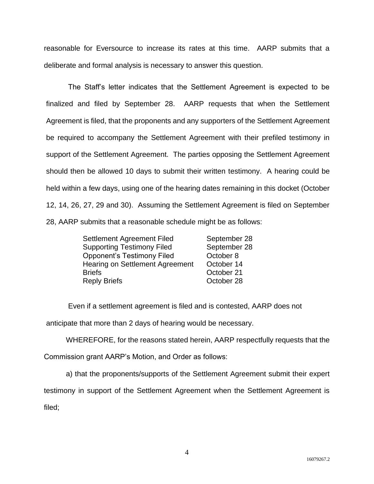reasonable for Eversource to increase its rates at this time. AARP submits that a deliberate and formal analysis is necessary to answer this question.

The Staff's letter indicates that the Settlement Agreement is expected to be finalized and filed by September 28. AARP requests that when the Settlement Agreement is filed, that the proponents and any supporters of the Settlement Agreement be required to accompany the Settlement Agreement with their prefiled testimony in support of the Settlement Agreement. The parties opposing the Settlement Agreement should then be allowed 10 days to submit their written testimony. A hearing could be held within a few days, using one of the hearing dates remaining in this docket (October 12, 14, 26, 27, 29 and 30). Assuming the Settlement Agreement is filed on September 28, AARP submits that a reasonable schedule might be as follows:

| Settlement Agreement Filed             | September 28 |
|----------------------------------------|--------------|
| <b>Supporting Testimony Filed</b>      | September 28 |
| <b>Opponent's Testimony Filed</b>      | October 8    |
| <b>Hearing on Settlement Agreement</b> | October 14   |
| <b>Briefs</b>                          | October 21   |
| <b>Reply Briefs</b>                    | October 28   |

Even if a settlement agreement is filed and is contested, AARP does not

anticipate that more than 2 days of hearing would be necessary.

WHEREFORE, for the reasons stated herein, AARP respectfully requests that the

Commission grant AARP's Motion, and Order as follows:

a) that the proponents/supports of the Settlement Agreement submit their expert

testimony in support of the Settlement Agreement when the Settlement Agreement is filed;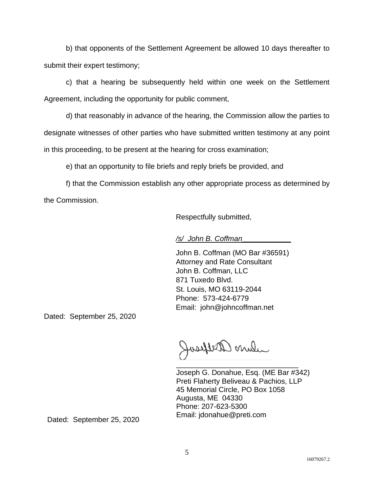b) that opponents of the Settlement Agreement be allowed 10 days thereafter to submit their expert testimony;

c) that a hearing be subsequently held within one week on the Settlement Agreement, including the opportunity for public comment,

d) that reasonably in advance of the hearing, the Commission allow the parties to designate witnesses of other parties who have submitted written testimony at any point in this proceeding, to be present at the hearing for cross examination;

e) that an opportunity to file briefs and reply briefs be provided, and

f) that the Commission establish any other appropriate process as determined by the Commission.

Respectfully submitted,

*/s/ John B. Coffman\_\_\_\_\_\_\_\_\_\_\_\_*

John B. Coffman (MO Bar #36591) Attorney and Rate Consultant John B. Coffman, LLC 871 Tuxedo Blvd. St. Louis, MO 63119-2044 Phone: 573-424-6779 Email: john@johncoffman.net

Dated: September 25, 2020

where arelycool \_\_\_\_\_\_\_\_\_\_\_\_\_\_\_\_\_\_\_\_\_\_\_\_\_\_\_\_\_\_

Joseph G. Donahue, Esq. (ME Bar #342) Preti Flaherty Beliveau & Pachios, LLP 45 Memorial Circle, PO Box 1058 Augusta, ME 04330 Phone: 207-623-5300 Email: jdonahue@preti.com

Dated: September 25, 2020